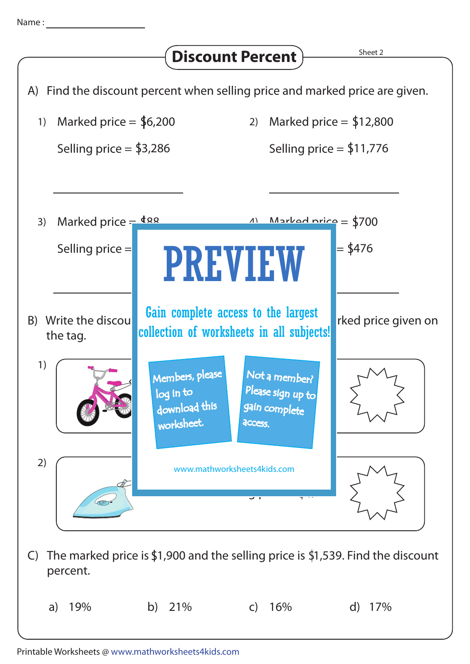